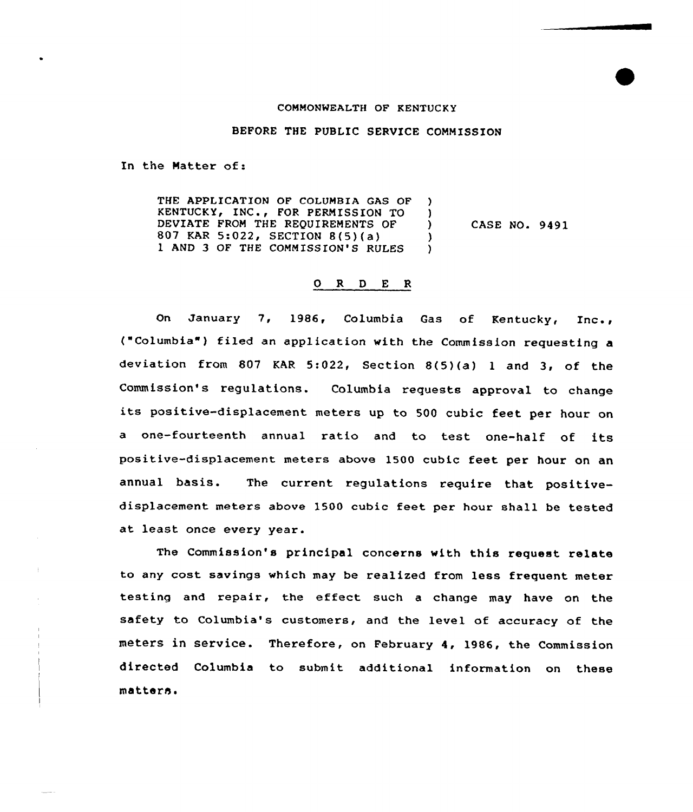## COMMONWEALTH OF KENTUCKY

BEFORE THE PUBLIC SERVICE COMMISSION

In the Matter of:

THE APPLICATION OF COLUMBIA GAS OF )<br>KENTUCKY, INC., FOR PERMISSION TO ) KENTUCKY, INC., FOR PERMISSION TO )<br>DEVIATE FROM THE REQUIREMENTS OF ) DEVIATE FROM THE REQUIREMENTS OF ) 807 KAR 5:022, SECTION 8(5)(a) (8)<br>1 AND 3 OF THE COMMISSION'S RULES (8) I AND 3 OF THE COMMISSION'S RULES } CASE NO. 9491

## O R D E R

On January 7, 1986, Columbia Gas of Kentucky, Inc., ("Columbia") filed an application with the Commission requesting a deviation from 807 KAR 5:022, Section 8(5)(a) <sup>1</sup> and 3, of the Commission's regulations. Columbia requests approval to change its positive-displacement meters up to <sup>500</sup> cubic feet per hour on <sup>a</sup> one-fourteenth annual ratio and to test one-half of its positive-disp1acement meters above 1500 cubic feet per hour on an annual basis. The current regulations require that positivedisplacement meters above 1500 cubic feet per hour shall be tested at least once every year.

The Commission's principal concerns with this request relate to any cost savings which may be realized from less frequent meter testing and repair, the effect such <sup>a</sup> change may have on the safety to Columbia's customers, and the level of accuracy of the meters in service. Therefore, on February 4, 1986, the Commission directed Columbia to submit additional information on these matters.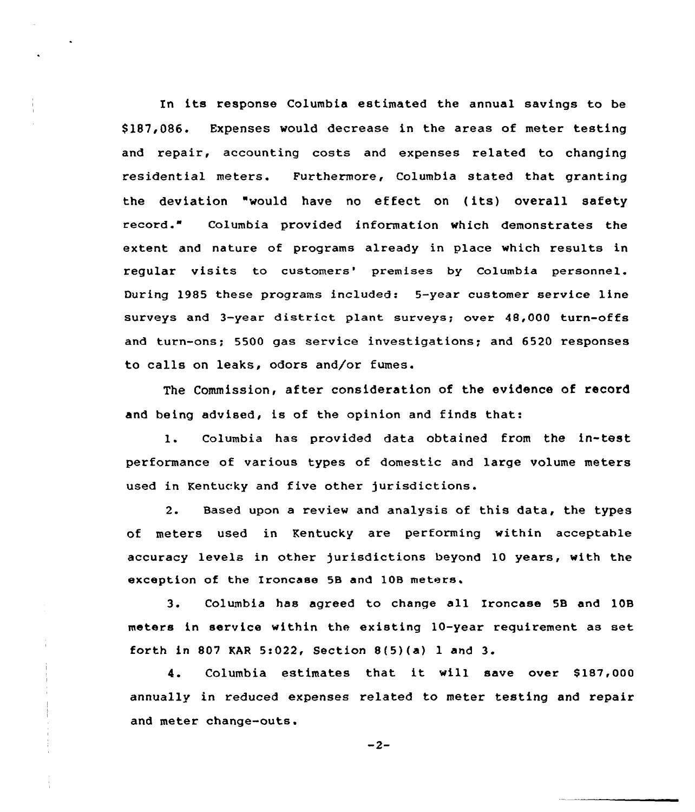In its response Columbia estimated the annual savings to be \$ 187,086. Expenses would decrease in the areas of meter testing and repair, accounting costs and expenses related to changing residential meters. Furthermore, Columbia stated that granting the deviation "would have no effect on (its) overall safety record." Columbia provided information which demonstrates the extent and nature of programs already in place which results in regular visits to customers' premises by Columbia personnel. During 1985 these programs included: 5-year customer service line surveys and 3-year district plant surveys; over 48,000 turn-offs and turn-ons; 5500 gas service investigations; and 6520 responses to calls on leaks, odors and/or fumes.

The Commission, after consideration of the evidence of record and being advised, is of the opinion and finds that:

1. Columbia has provided data obtained from the in-test performance of various types of domestic and large volume meters used in Kentucky and five other jurisdictions.

2. Based upon a review and analysis of this data, the types of meters used in Kentucky are performing within acceptahle accuracy levels in other jurisdictions beyond 10 years, with the exception of the Ironcase 58 and 108 meters.

3. Columbia has agreed to change all Ironcase 5B and 108 meters in service within the existing 10-year requirement as set forth in 807 KAR 5:022, Section 8(5)(a) <sup>1</sup> and 3.

4. Columbia estimates that it will save over \$187,000 annually in reduced expenses related to meter testing and repair and meter change-outs.

 $-2-$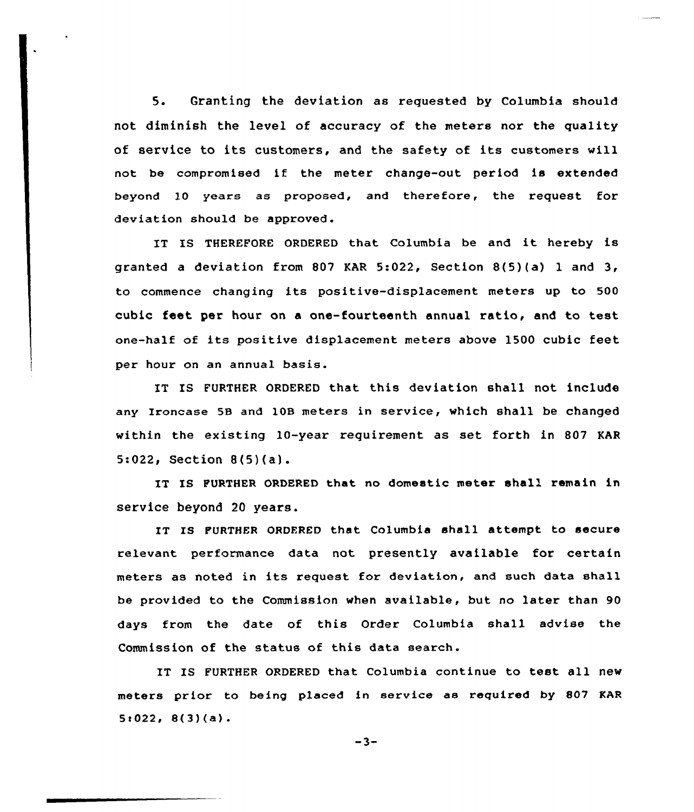5. Granting the deviatian as requested by Calumbia should not diminish the level of accuracy of the meters nor the quality of service to its customers, and the safety of its customers will not be compromised if the meter change-out period is extended beyond l0 years as proposed, and therefore, the request for deviation should be approved.

IT IS THEREFORE ORDERED that Columbia be and it hereby is granted a deviation from 807 KAR 5:022, Section 8(5)(a) 1 and 3, to cammence changing its positive-displacement meters up to 500 cubic feet per hour on a one-fourteenth annual ratio, and to test one-half of its positive displacement meters above 1500 cubic feet per hour on an annual basis.

IT IS FURTHER ORDERED that this deviation shall not include any Ironcase 58 and 108 meters in service, which shall be changed within the existing 10-year requirement as set forth in 807 KAR 5:022, Section 8(5)(a).

IT IS FURTHER ORDERED that no domestic meter shall remain in service beyond 20 years.

IT IS FURTHER ORDERED that Columbia shall attempt to secure relevant performance data not presently available for certain meters as noted in its request for deviation, and such data shall be pravided to the Commission when available, but no later than 90 days from the date of this Order Columbia shall advise the Commission of the status of this data search.

IT IS FURTHER ORDERED that Columbia continue to test all new meters prior to being placed in service as required by 807 KAR  $5:022, 8(3)(a)$ .

 $-3-$